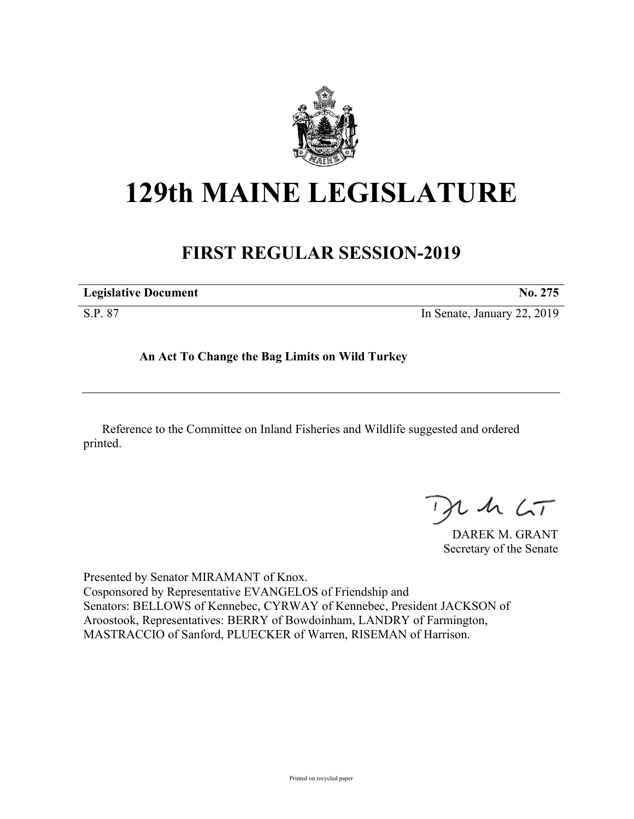

## **129th MAINE LEGISLATURE**

## **FIRST REGULAR SESSION-2019**

| <b>Legislative Document</b> | No. 275                     |
|-----------------------------|-----------------------------|
| S.P. 87                     | In Senate, January 22, 2019 |

**An Act To Change the Bag Limits on Wild Turkey**

Reference to the Committee on Inland Fisheries and Wildlife suggested and ordered printed.

 $425$ 

DAREK M. GRANT Secretary of the Senate

Presented by Senator MIRAMANT of Knox. Cosponsored by Representative EVANGELOS of Friendship and Senators: BELLOWS of Kennebec, CYRWAY of Kennebec, President JACKSON of Aroostook, Representatives: BERRY of Bowdoinham, LANDRY of Farmington, MASTRACCIO of Sanford, PLUECKER of Warren, RISEMAN of Harrison.